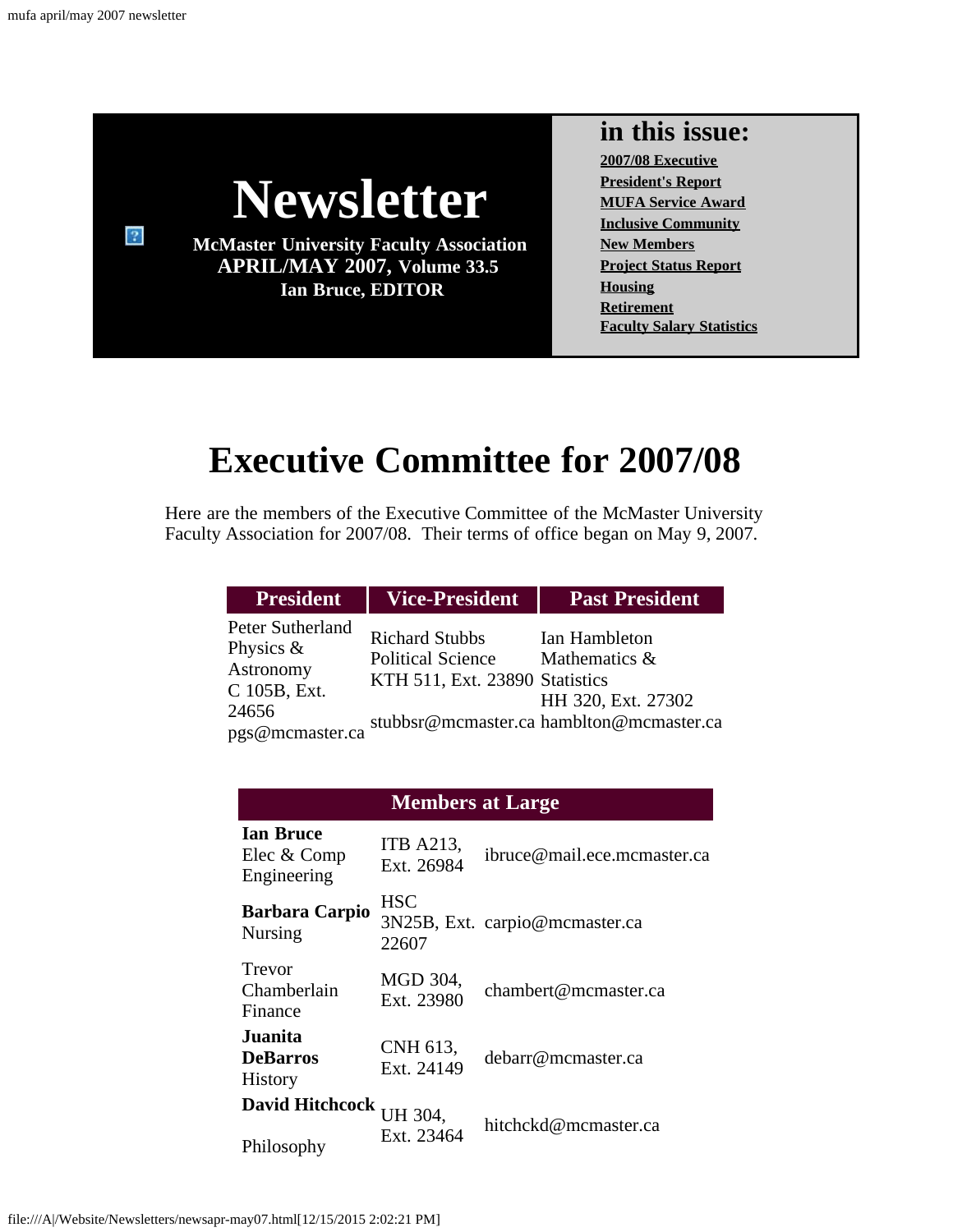$\overline{?}$ 



**McMaster University Faculty Association APRIL/MAY 2007, Volume 33.5 Ian Bruce, EDITOR**

#### **in this issue:**

**[2007/08 Executive](#page-0-0) [President's Report](#page-1-0) [MUFA Service Award](#page-3-0) [Inclusive Community](#page-4-0) [New Members](#page-6-0) [Project Status Report](#page-7-0) [Housing](#page-7-1) [Retirement](#page-8-0) [Faculty Salary Statistics](#page-10-0)**

# **Executive Committee for 2007/08**

<span id="page-0-0"></span>Here are the members of the Executive Committee of the McMaster University Faculty Association for 2007/08. Their terms of office began on May 9, 2007.

| <b>President</b>                                                                          | <b>Vice-President</b>                                                               | <b>Past President</b>                                                                            |
|-------------------------------------------------------------------------------------------|-------------------------------------------------------------------------------------|--------------------------------------------------------------------------------------------------|
| Peter Sutherland<br>Physics $\&$<br>Astronomy<br>C 105B, Ext.<br>24656<br>pgs@mcmaster.ca | <b>Richard Stubbs</b><br><b>Political Science</b><br>KTH 511, Ext. 23890 Statistics | Ian Hambleton<br>Mathematics &<br>HH 320, Ext. 27302<br>stubbsr@mcmaster.ca hamblton@mcmaster.ca |

#### **Members at Large**

| <b>Ian Bruce</b><br>Elec & Comp<br>Engineering | <b>ITB A213,</b><br>Ext. 26984 | ibruce@mail.ece.mcmaster.ca    |
|------------------------------------------------|--------------------------------|--------------------------------|
| <b>Barbara Carpio</b><br><b>Nursing</b>        | <b>HSC</b><br>22607            | 3N25B, Ext. carpio@mcmaster.ca |
| Trevor<br>Chamberlain<br>Finance               | MGD 304,<br>Ext. 23980         | chambert@mcmaster.ca           |
| Juanita.<br><b>DeBarros</b><br><b>History</b>  | CNH 613,<br>Ext. 24149         | debarr@mcmaster.ca             |
| <b>David Hitchcock</b><br>Philosophy           | UH 304.<br>Ext. 23464          | hitchckd@mcmaster.ca           |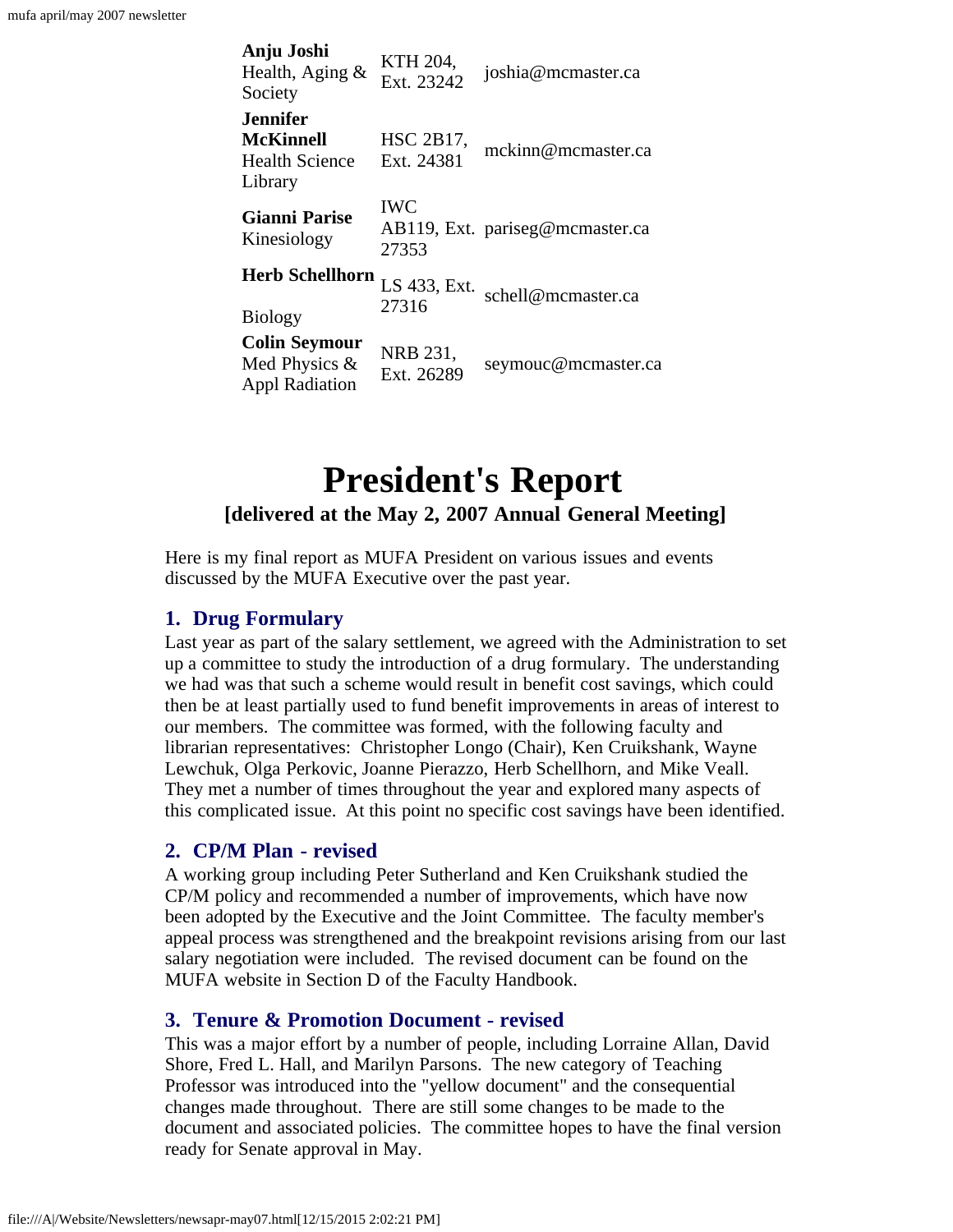| Anju Joshi<br>Health, Aging $\&$<br>Society                       | KTH 204,<br>Ext. 23242  | joshia@mcmaster.ca              |
|-------------------------------------------------------------------|-------------------------|---------------------------------|
| .Jennifer<br><b>McKinnell</b><br><b>Health Science</b><br>Library | HSC 2B17,<br>Ext. 24381 | mckinn@mcmaster.ca              |
| <b>Gianni Parise</b><br>Kinesiology                               | <b>IWC</b><br>27353     | AB119, Ext. pariseg@mcmaster.ca |
| <b>Herb Schellhorn</b><br><b>Biology</b>                          | LS 433, Ext.<br>27316   | schell@mcmaster.ca              |
| <b>Colin Seymour</b><br>Med Physics &<br><b>Appl Radiation</b>    | NRB 231,<br>Ext. 26289  | seymouc@mcmaster.ca             |

### **President's Report [delivered at the May 2, 2007 Annual General Meeting]**

<span id="page-1-0"></span>Here is my final report as MUFA President on various issues and events discussed by the MUFA Executive over the past year.

#### **1. Drug Formulary**

Last year as part of the salary settlement, we agreed with the Administration to set up a committee to study the introduction of a drug formulary. The understanding we had was that such a scheme would result in benefit cost savings, which could then be at least partially used to fund benefit improvements in areas of interest to our members. The committee was formed, with the following faculty and librarian representatives: Christopher Longo (Chair), Ken Cruikshank, Wayne Lewchuk, Olga Perkovic, Joanne Pierazzo, Herb Schellhorn, and Mike Veall. They met a number of times throughout the year and explored many aspects of this complicated issue. At this point no specific cost savings have been identified.

#### **2. CP/M Plan - revised**

A working group including Peter Sutherland and Ken Cruikshank studied the CP/M policy and recommended a number of improvements, which have now been adopted by the Executive and the Joint Committee. The faculty member's appeal process was strengthened and the breakpoint revisions arising from our last salary negotiation were included. The revised document can be found on the MUFA website in Section D of the Faculty Handbook.

#### **3. Tenure & Promotion Document - revised**

This was a major effort by a number of people, including Lorraine Allan, David Shore, Fred L. Hall, and Marilyn Parsons. The new category of Teaching Professor was introduced into the "yellow document" and the consequential changes made throughout. There are still some changes to be made to the document and associated policies. The committee hopes to have the final version ready for Senate approval in May.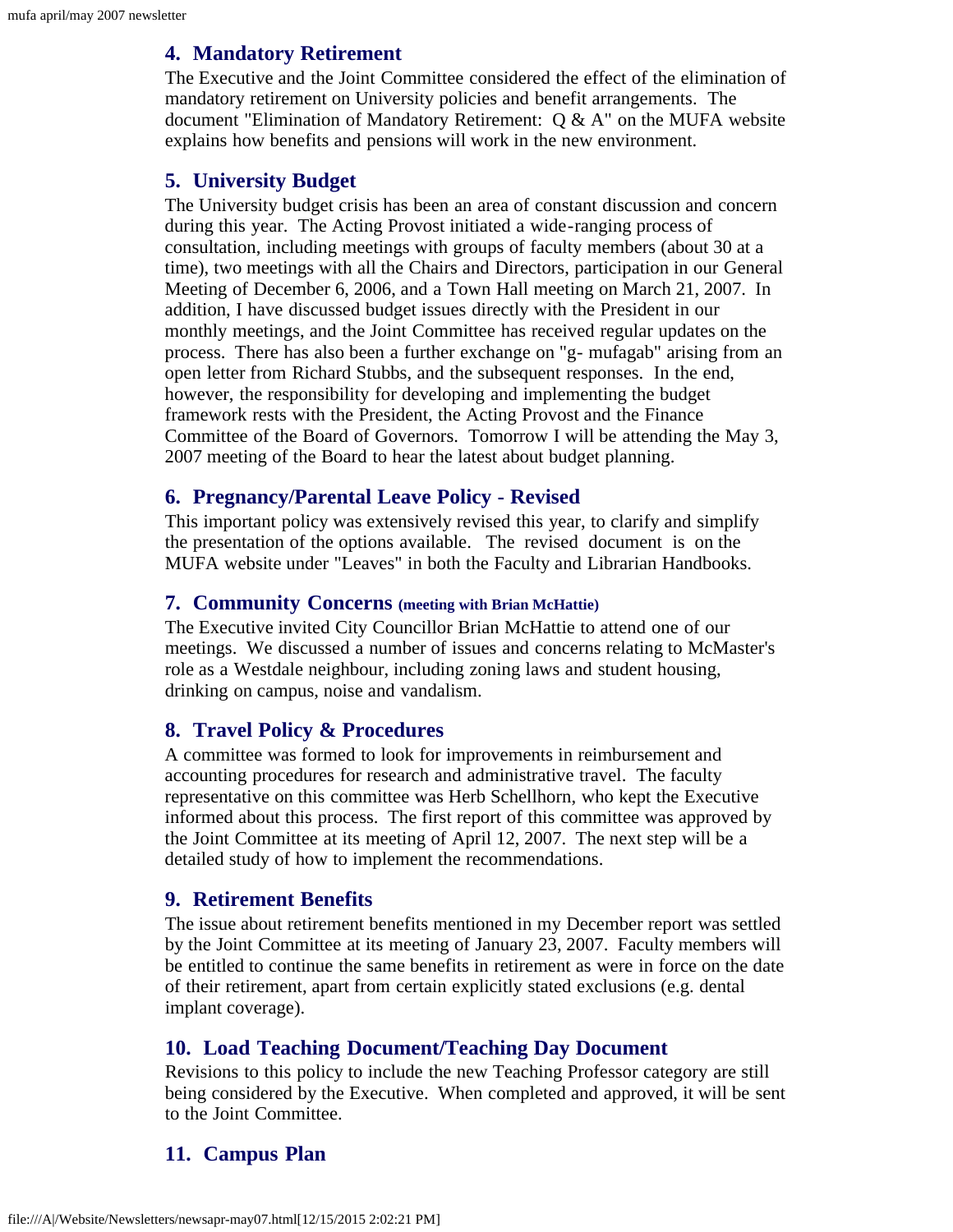#### **4. Mandatory Retirement**

The Executive and the Joint Committee considered the effect of the elimination of mandatory retirement on University policies and benefit arrangements. The document "Elimination of Mandatory Retirement: Q & A" on the MUFA website explains how benefits and pensions will work in the new environment.

#### **5. University Budget**

The University budget crisis has been an area of constant discussion and concern during this year. The Acting Provost initiated a wide-ranging process of consultation, including meetings with groups of faculty members (about 30 at a time), two meetings with all the Chairs and Directors, participation in our General Meeting of December 6, 2006, and a Town Hall meeting on March 21, 2007. In addition, I have discussed budget issues directly with the President in our monthly meetings, and the Joint Committee has received regular updates on the process. There has also been a further exchange on "g- mufagab" arising from an open letter from Richard Stubbs, and the subsequent responses. In the end, however, the responsibility for developing and implementing the budget framework rests with the President, the Acting Provost and the Finance Committee of the Board of Governors. Tomorrow I will be attending the May 3, 2007 meeting of the Board to hear the latest about budget planning.

#### **6. Pregnancy/Parental Leave Policy - Revised**

This important policy was extensively revised this year, to clarify and simplify the presentation of the options available. The revised document is on the MUFA website under "Leaves" in both the Faculty and Librarian Handbooks.

#### **7. Community Concerns (meeting with Brian McHattie)**

The Executive invited City Councillor Brian McHattie to attend one of our meetings. We discussed a number of issues and concerns relating to McMaster's role as a Westdale neighbour, including zoning laws and student housing, drinking on campus, noise and vandalism.

#### **8. Travel Policy & Procedures**

A committee was formed to look for improvements in reimbursement and accounting procedures for research and administrative travel. The faculty representative on this committee was Herb Schellhorn, who kept the Executive informed about this process. The first report of this committee was approved by the Joint Committee at its meeting of April 12, 2007. The next step will be a detailed study of how to implement the recommendations.

#### **9. Retirement Benefits**

The issue about retirement benefits mentioned in my December report was settled by the Joint Committee at its meeting of January 23, 2007. Faculty members will be entitled to continue the same benefits in retirement as were in force on the date of their retirement, apart from certain explicitly stated exclusions (e.g. dental implant coverage).

#### **10. Load Teaching Document/Teaching Day Document**

Revisions to this policy to include the new Teaching Professor category are still being considered by the Executive. When completed and approved, it will be sent to the Joint Committee.

#### **11. Campus Plan**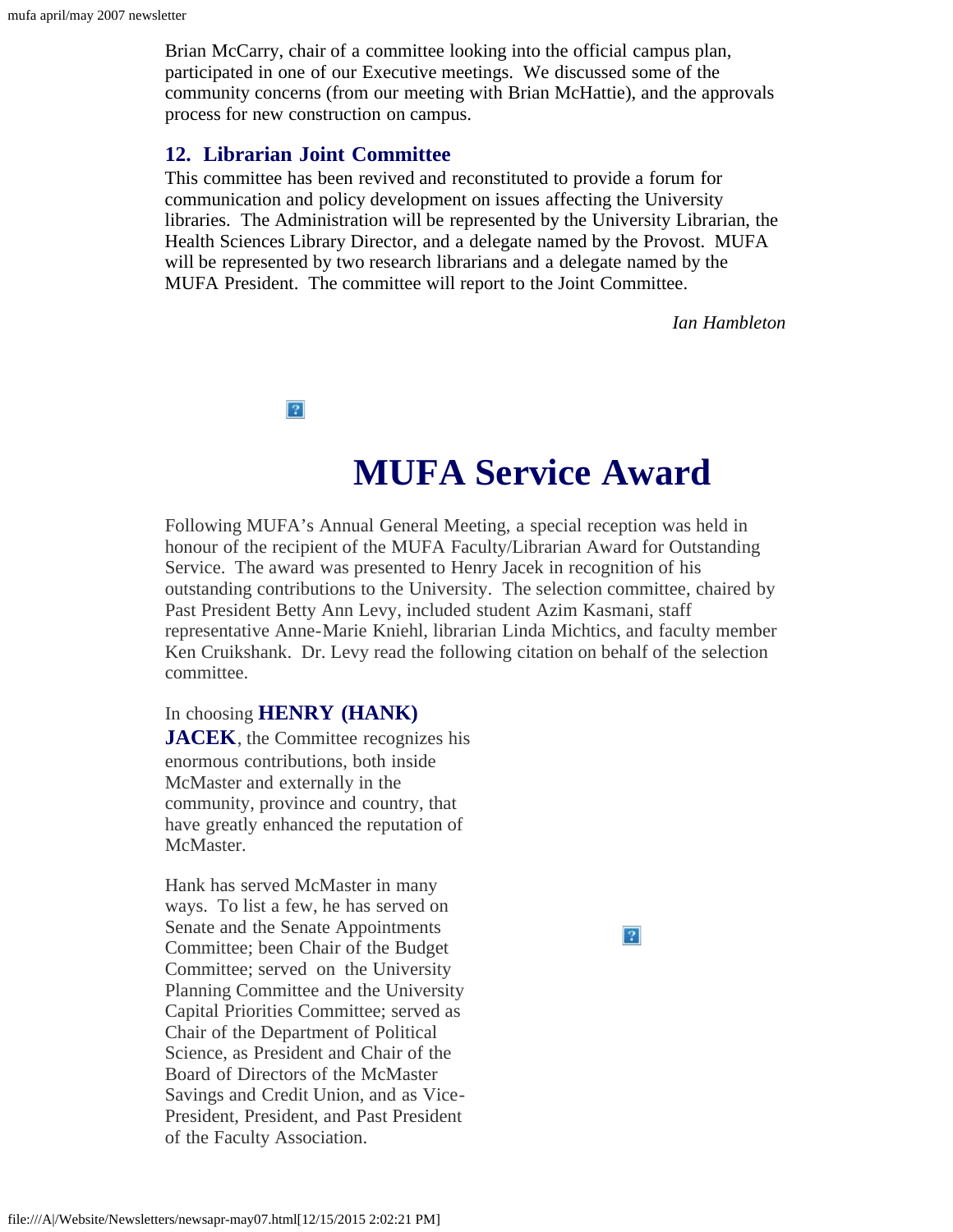Brian McCarry, chair of a committee looking into the official campus plan, participated in one of our Executive meetings. We discussed some of the community concerns (from our meeting with Brian McHattie), and the approvals process for new construction on campus.

#### **12. Librarian Joint Committee**

 $\sqrt{2}$ 

This committee has been revived and reconstituted to provide a forum for communication and policy development on issues affecting the University libraries. The Administration will be represented by the University Librarian, the Health Sciences Library Director, and a delegate named by the Provost. MUFA will be represented by two research librarians and a delegate named by the MUFA President. The committee will report to the Joint Committee.

*Ian Hambleton*

**MUFA Service Award**

<span id="page-3-0"></span>Following MUFA's Annual General Meeting, a special reception was held in honour of the recipient of the MUFA Faculty/Librarian Award for Outstanding Service. The award was presented to Henry Jacek in recognition of his outstanding contributions to the University. The selection committee, chaired by Past President Betty Ann Levy, included student Azim Kasmani, staff representative Anne-Marie Kniehl, librarian Linda Michtics, and faculty member Ken Cruikshank. Dr. Levy read the following citation on behalf of the selection committee.

#### In choosing **HENRY (HANK)**

**JACEK**, the Committee recognizes his enormous contributions, both inside McMaster and externally in the community, province and country, that have greatly enhanced the reputation of McMaster.

Hank has served McMaster in many ways. To list a few, he has served on Senate and the Senate Appointments Committee; been Chair of the Budget Committee; served on the University Planning Committee and the University Capital Priorities Committee; served as Chair of the Department of Political Science, as President and Chair of the Board of Directors of the McMaster Savings and Credit Union, and as Vice-President, President, and Past President of the Faculty Association.

 $|2|$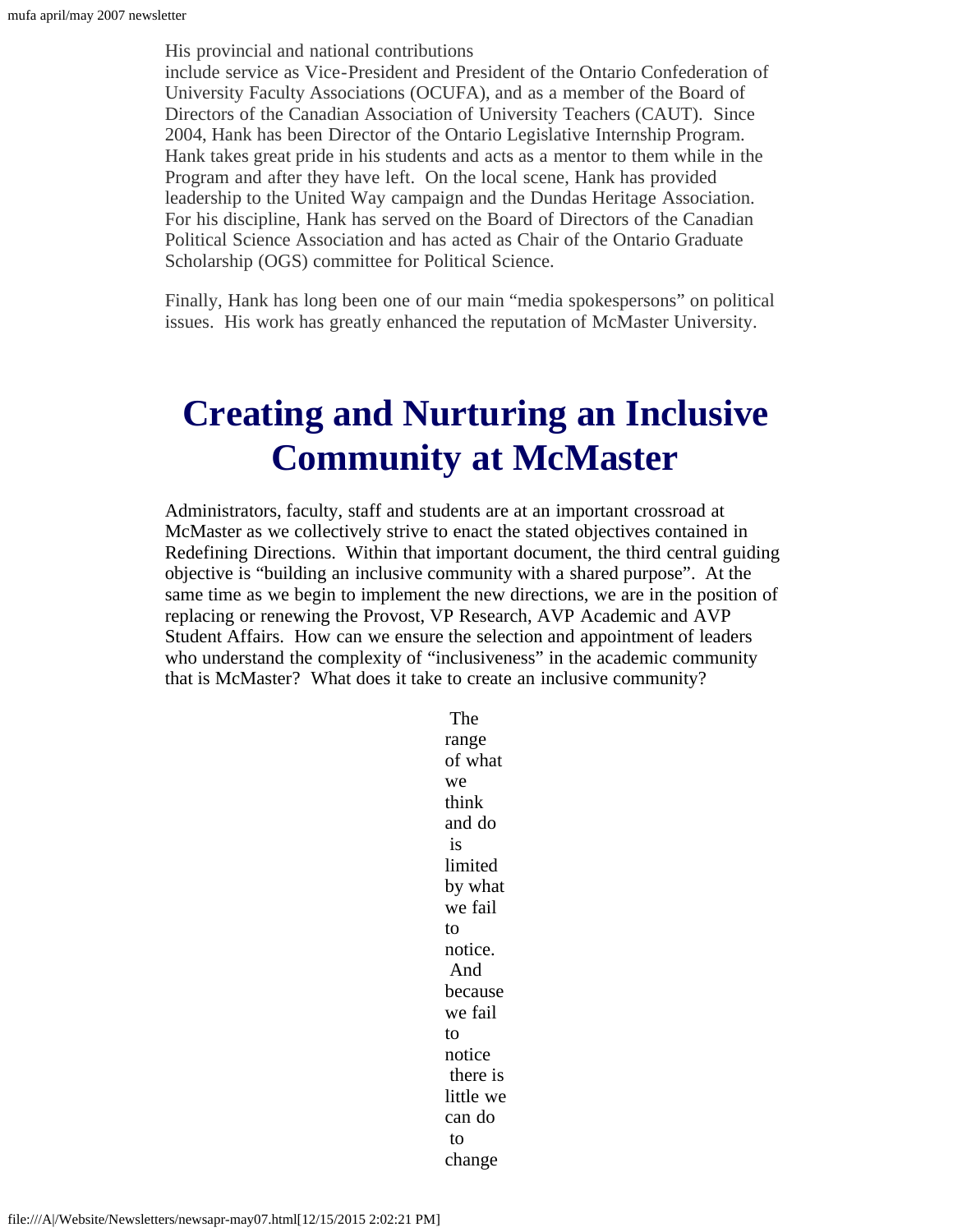His provincial and national contributions include service as Vice-President and President of the Ontario Confederation of University Faculty Associations (OCUFA), and as a member of the Board of Directors of the Canadian Association of University Teachers (CAUT). Since 2004, Hank has been Director of the Ontario Legislative Internship Program. Hank takes great pride in his students and acts as a mentor to them while in the Program and after they have left. On the local scene, Hank has provided leadership to the United Way campaign and the Dundas Heritage Association. For his discipline, Hank has served on the Board of Directors of the Canadian Political Science Association and has acted as Chair of the Ontario Graduate Scholarship (OGS) committee for Political Science.

Finally, Hank has long been one of our main "media spokespersons" on political issues. His work has greatly enhanced the reputation of McMaster University.

## <span id="page-4-0"></span>**Creating and Nurturing an Inclusive Community at McMaster**

Administrators, faculty, staff and students are at an important crossroad at McMaster as we collectively strive to enact the stated objectives contained in Redefining Directions. Within that important document, the third central guiding objective is "building an inclusive community with a shared purpose". At the same time as we begin to implement the new directions, we are in the position of replacing or renewing the Provost, VP Research, AVP Academic and AVP Student Affairs. How can we ensure the selection and appointment of leaders who understand the complexity of "inclusiveness" in the academic community that is McMaster? What does it take to create an inclusive community?

> The range of what we think and do is limited by what we fail to notice. And because we fail to notice there is little we can do to change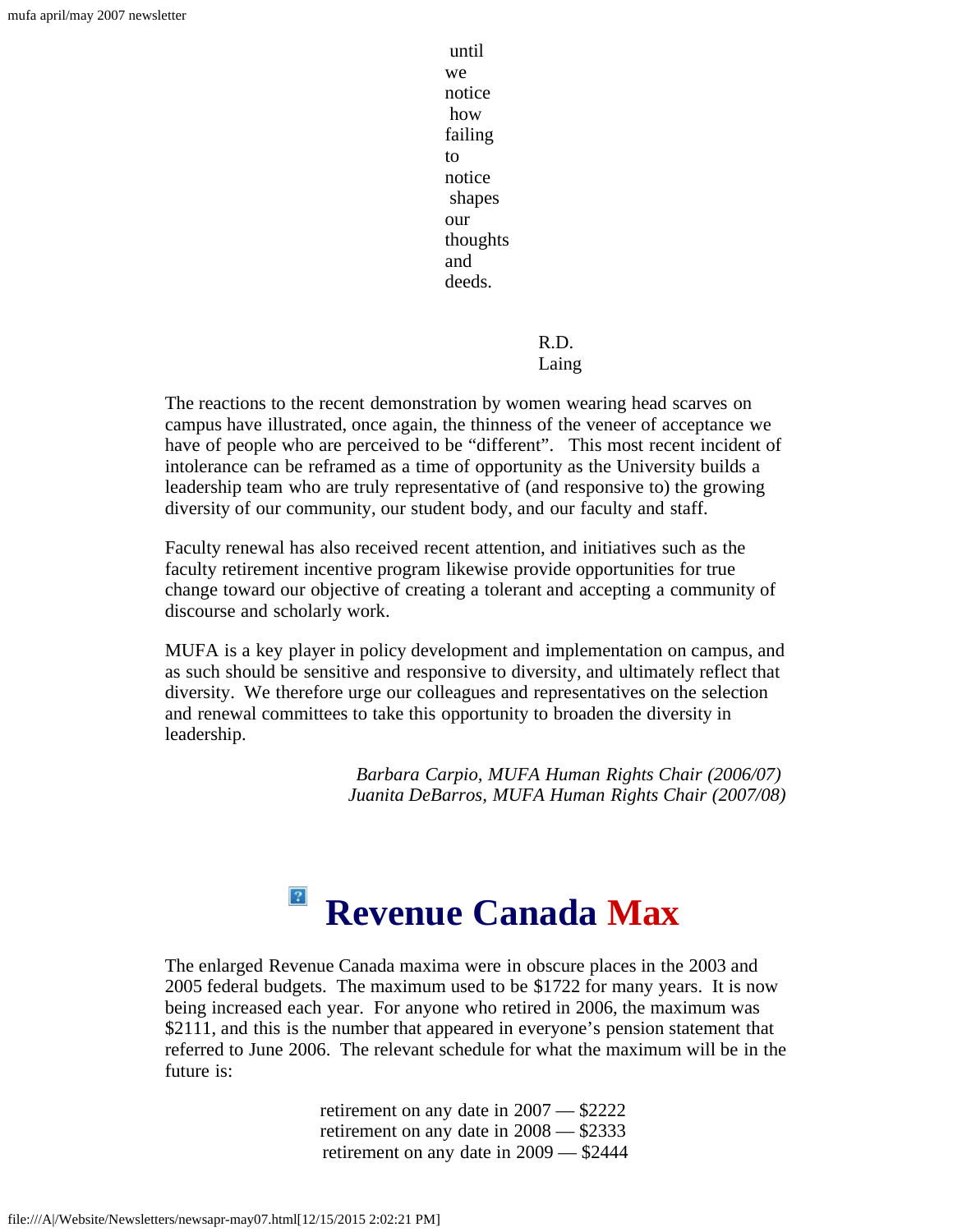until we notice how failing to notice shapes our thoughts and deeds.

> R.D. Laing

The reactions to the recent demonstration by women wearing head scarves on campus have illustrated, once again, the thinness of the veneer of acceptance we have of people who are perceived to be "different". This most recent incident of intolerance can be reframed as a time of opportunity as the University builds a leadership team who are truly representative of (and responsive to) the growing diversity of our community, our student body, and our faculty and staff.

Faculty renewal has also received recent attention, and initiatives such as the faculty retirement incentive program likewise provide opportunities for true change toward our objective of creating a tolerant and accepting a community of discourse and scholarly work.

MUFA is a key player in policy development and implementation on campus, and as such should be sensitive and responsive to diversity, and ultimately reflect that diversity. We therefore urge our colleagues and representatives on the selection and renewal committees to take this opportunity to broaden the diversity in leadership.

> *Barbara Carpio, MUFA Human Rights Chair (2006/07) Juanita DeBarros, MUFA Human Rights Chair (2007/08)*

#### $|2\rangle$ **Revenue Canada Max**

The enlarged Revenue Canada maxima were in obscure places in the 2003 and 2005 federal budgets. The maximum used to be \$1722 for many years. It is now being increased each year. For anyone who retired in 2006, the maximum was \$2111, and this is the number that appeared in everyone's pension statement that referred to June 2006. The relevant schedule for what the maximum will be in the future is:

> retirement on any date in 2007 — \$2222 retirement on any date in 2008 — \$2333 retirement on any date in 2009 — \$2444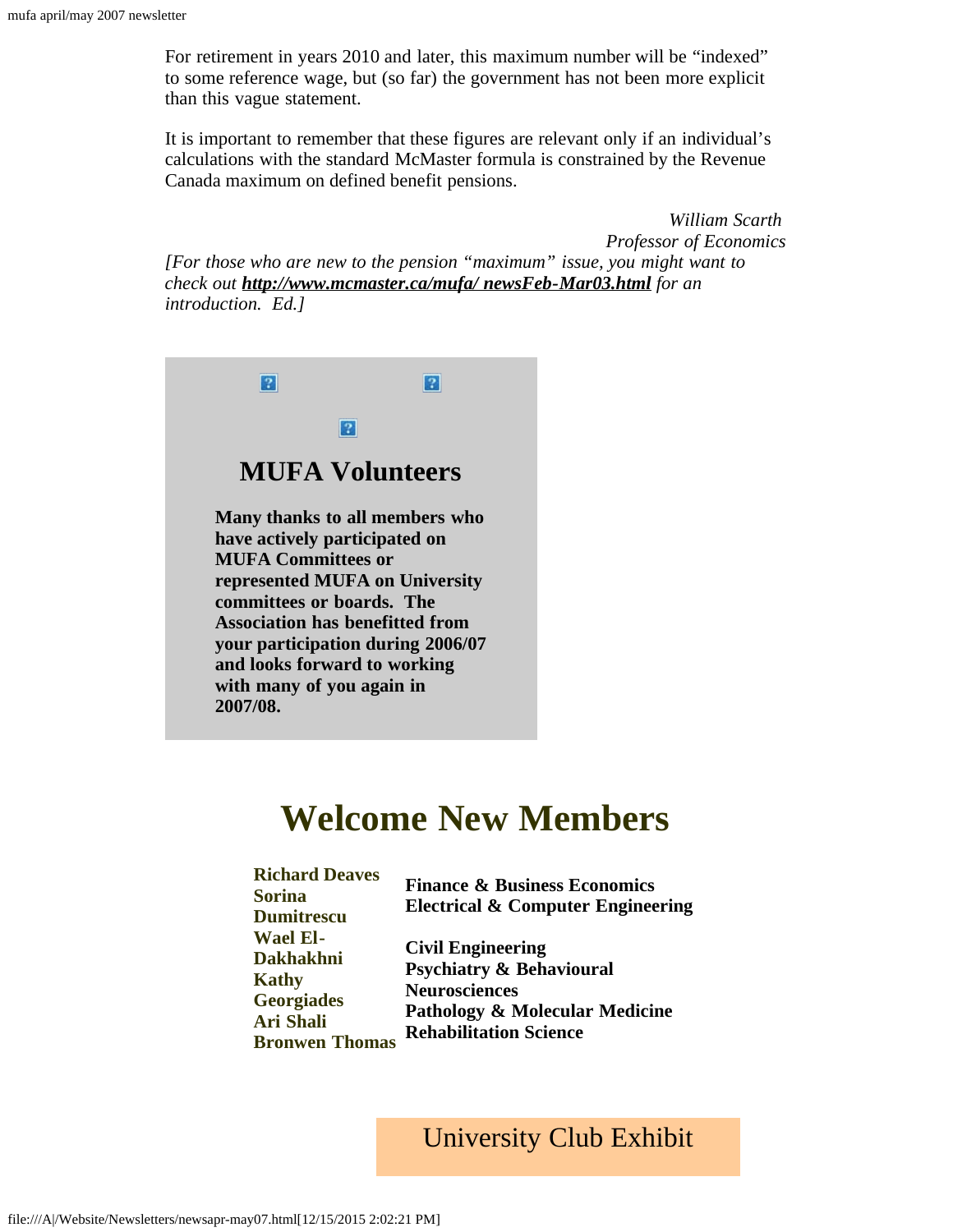For retirement in years 2010 and later, this maximum number will be "indexed" to some reference wage, but (so far) the government has not been more explicit than this vague statement.

It is important to remember that these figures are relevant only if an individual's calculations with the standard McMaster formula is constrained by the Revenue Canada maximum on defined benefit pensions.

*William Scarth Professor of Economics [For those who are new to the pension "maximum" issue, you might want to check out [http://www.mcmaster.ca/mufa/ newsFeb-Mar03.html](http://www.mcmaster.ca/mufa/newsFeb-Mar03.html) for an introduction. Ed.]*



### **Welcome New Members**

<span id="page-6-0"></span>

| <b>Richard Deaves</b><br>Sorina<br><b>Dumitrescu</b>                                                           | <b>Finance &amp; Business Economics</b><br><b>Electrical &amp; Computer Engineering</b>                                                                               |
|----------------------------------------------------------------------------------------------------------------|-----------------------------------------------------------------------------------------------------------------------------------------------------------------------|
| <b>Wael El-</b><br>Dakhakhni<br><b>Kathy</b><br><b>Georgiades</b><br><b>Ari Shali</b><br><b>Bronwen Thomas</b> | <b>Civil Engineering</b><br><b>Psychiatry &amp; Behavioural</b><br><b>Neurosciences</b><br><b>Pathology &amp; Molecular Medicine</b><br><b>Rehabilitation Science</b> |

#### University Club Exhibit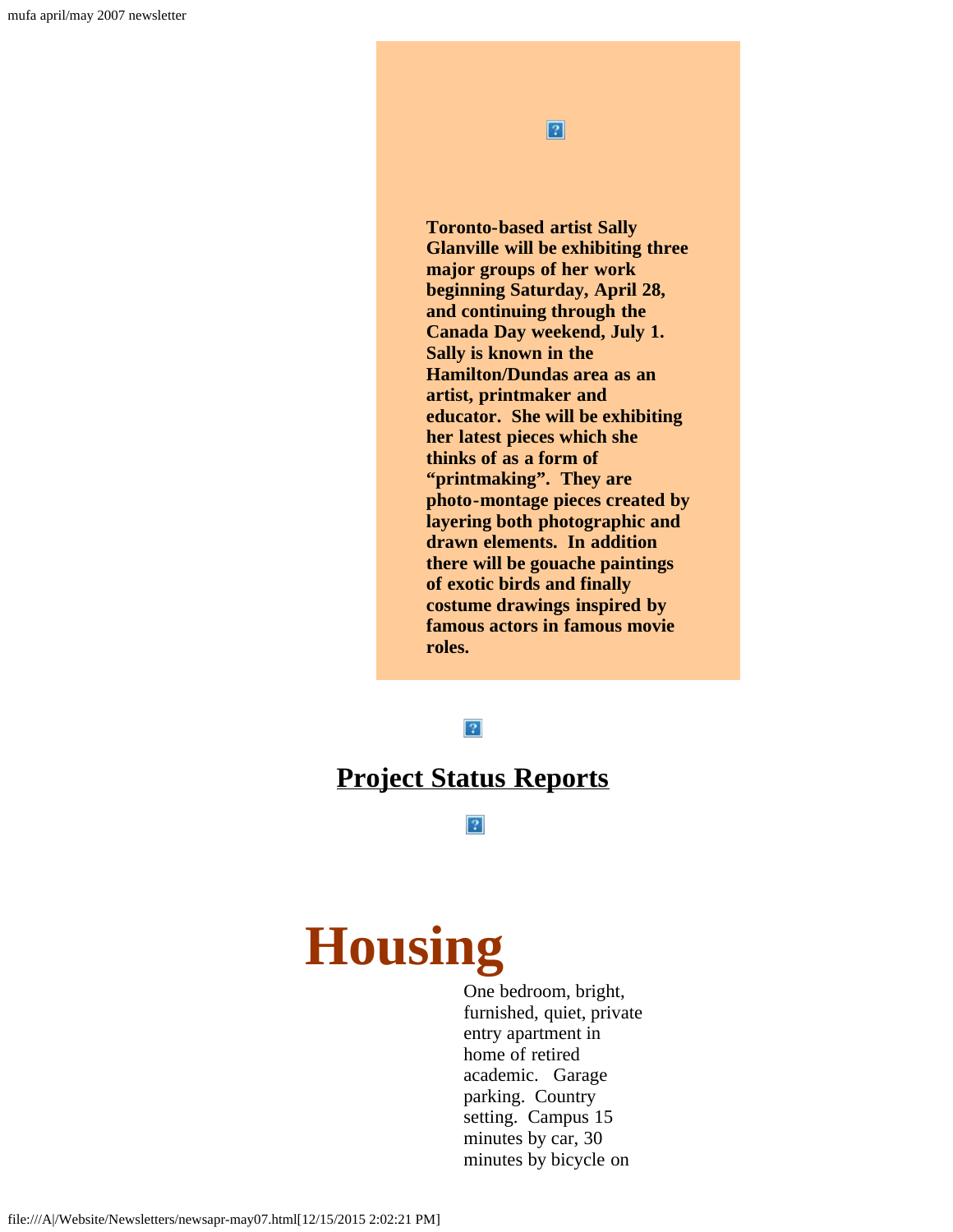$\boxed{2}$ 

**Toronto-based artist Sally Glanville will be exhibiting three major groups of her work beginning Saturday, April 28, and continuing through the Canada Day weekend, July 1. Sally is known in the Hamilton/Dundas area as an artist, printmaker and educator. She will be exhibiting her latest pieces which she thinks of as a form of "printmaking". They are photo-montage pieces created by layering both photographic and drawn elements. In addition there will be gouache paintings of exotic birds and finally costume drawings inspired by famous actors in famous movie roles.**

 $|2|$ 

#### <span id="page-7-0"></span>**[Project Status Reports](file:///A|/Website/Newsletters/projectApril07.pdf)**

 $\boxed{?}$ 

# <span id="page-7-1"></span>**Housing**

One bedroom, bright, furnished, quiet, private entry apartment in home of retired academic. Garage parking. Country setting. Campus 15 minutes by car, 30 minutes by bicycle on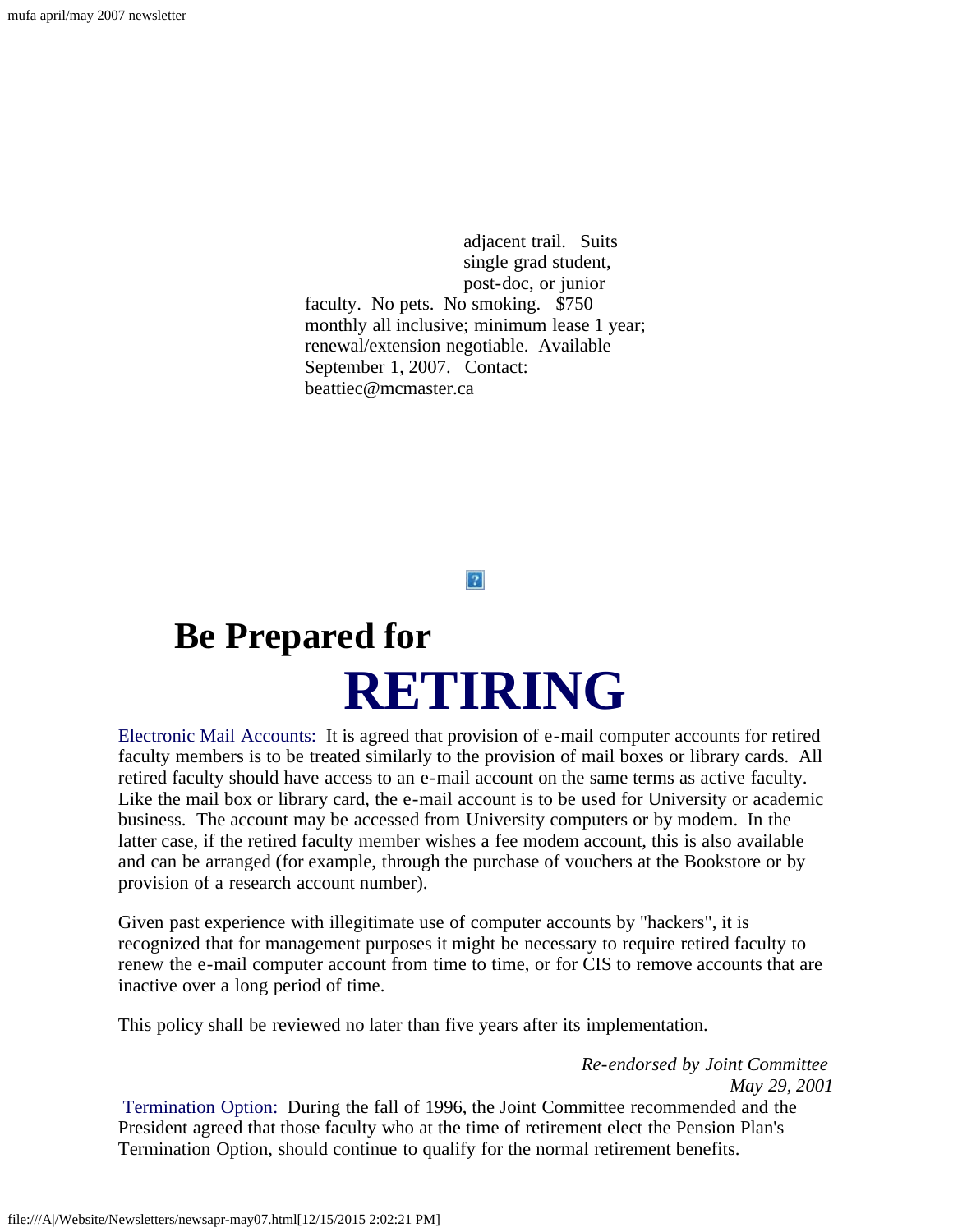adjacent trail. Suits single grad student, post-doc, or junior faculty. No pets. No smoking. \$750 monthly all inclusive; minimum lease 1 year; renewal/extension negotiable. Available September 1, 2007. Contact: beattiec@mcmaster.ca

 $|2|$ 

# <span id="page-8-0"></span> **Be Prepared for RETIRING**

Electronic Mail Accounts: It is agreed that provision of e-mail computer accounts for retired faculty members is to be treated similarly to the provision of mail boxes or library cards. All retired faculty should have access to an e-mail account on the same terms as active faculty. Like the mail box or library card, the e-mail account is to be used for University or academic business. The account may be accessed from University computers or by modem. In the latter case, if the retired faculty member wishes a fee modem account, this is also available and can be arranged (for example, through the purchase of vouchers at the Bookstore or by provision of a research account number).

Given past experience with illegitimate use of computer accounts by "hackers", it is recognized that for management purposes it might be necessary to require retired faculty to renew the e-mail computer account from time to time, or for CIS to remove accounts that are inactive over a long period of time.

This policy shall be reviewed no later than five years after its implementation.

*Re-endorsed by Joint Committee May 29, 2001*

Termination Option: During the fall of 1996, the Joint Committee recommended and the President agreed that those faculty who at the time of retirement elect the Pension Plan's Termination Option, should continue to qualify for the normal retirement benefits.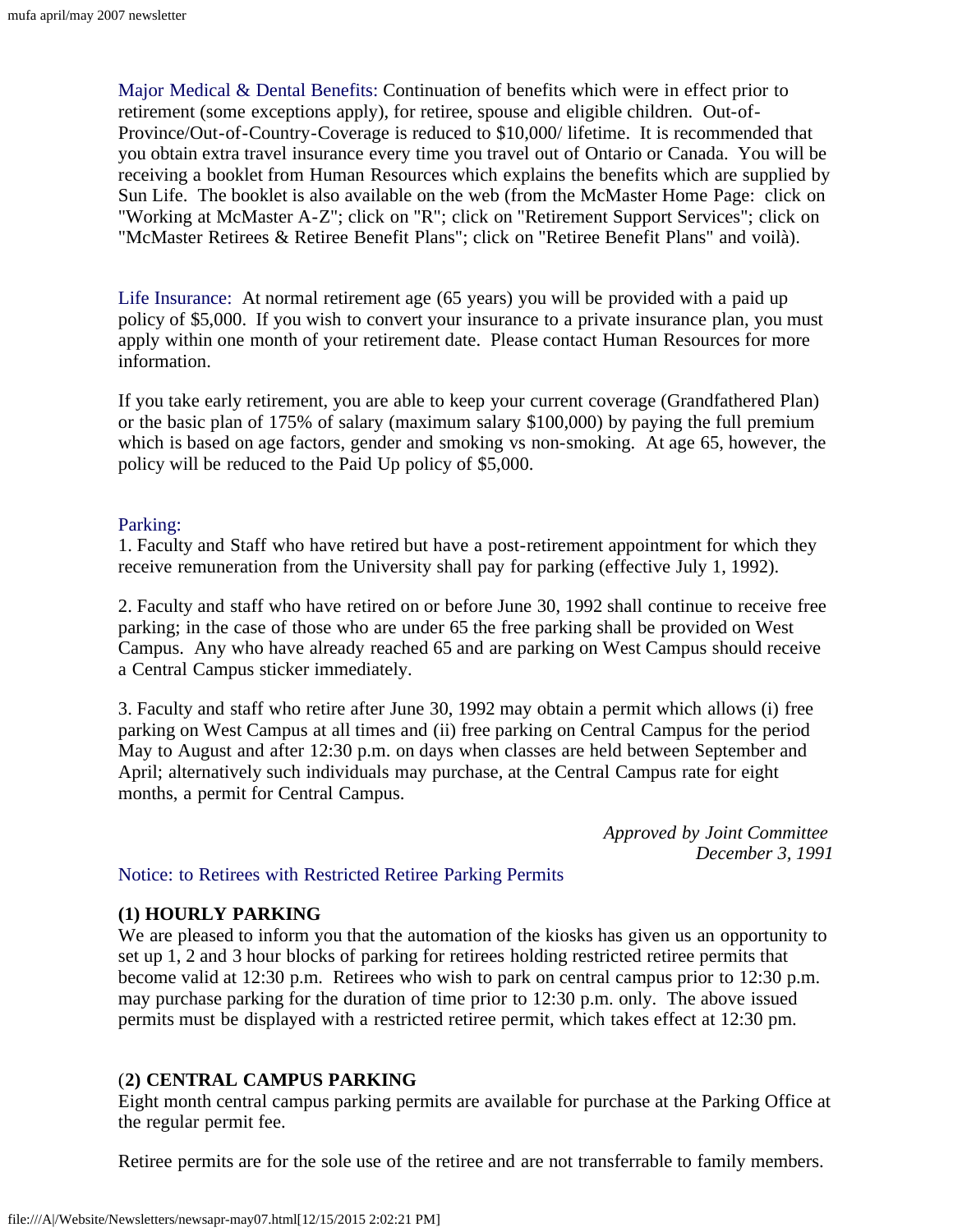Major Medical & Dental Benefits: Continuation of benefits which were in effect prior to retirement (some exceptions apply), for retiree, spouse and eligible children. Out-of-Province/Out-of-Country-Coverage is reduced to \$10,000/ lifetime. It is recommended that you obtain extra travel insurance every time you travel out of Ontario or Canada. You will be receiving a booklet from Human Resources which explains the benefits which are supplied by Sun Life. The booklet is also available on the web (from the McMaster Home Page: click on "Working at McMaster A-Z"; click on "R"; click on "Retirement Support Services"; click on "McMaster Retirees & Retiree Benefit Plans"; click on "Retiree Benefit Plans" and voilà).

Life Insurance: At normal retirement age (65 years) you will be provided with a paid up policy of \$5,000. If you wish to convert your insurance to a private insurance plan, you must apply within one month of your retirement date. Please contact Human Resources for more information.

If you take early retirement, you are able to keep your current coverage (Grandfathered Plan) or the basic plan of 175% of salary (maximum salary \$100,000) by paying the full premium which is based on age factors, gender and smoking vs non-smoking. At age 65, however, the policy will be reduced to the Paid Up policy of \$5,000.

#### Parking:

1. Faculty and Staff who have retired but have a post-retirement appointment for which they receive remuneration from the University shall pay for parking (effective July 1, 1992).

2. Faculty and staff who have retired on or before June 30, 1992 shall continue to receive free parking; in the case of those who are under 65 the free parking shall be provided on West Campus. Any who have already reached 65 and are parking on West Campus should receive a Central Campus sticker immediately.

3. Faculty and staff who retire after June 30, 1992 may obtain a permit which allows (i) free parking on West Campus at all times and (ii) free parking on Central Campus for the period May to August and after 12:30 p.m. on days when classes are held between September and April; alternatively such individuals may purchase, at the Central Campus rate for eight months, a permit for Central Campus.

> *Approved by Joint Committee December 3, 1991*

#### Notice: to Retirees with Restricted Retiree Parking Permits

#### **(1) HOURLY PARKING**

We are pleased to inform you that the automation of the kiosks has given us an opportunity to set up 1, 2 and 3 hour blocks of parking for retirees holding restricted retiree permits that become valid at 12:30 p.m. Retirees who wish to park on central campus prior to 12:30 p.m. may purchase parking for the duration of time prior to 12:30 p.m. only. The above issued permits must be displayed with a restricted retiree permit, which takes effect at 12:30 pm.

#### (**2) CENTRAL CAMPUS PARKING**

Eight month central campus parking permits are available for purchase at the Parking Office at the regular permit fee.

Retiree permits are for the sole use of the retiree and are not transferrable to family members.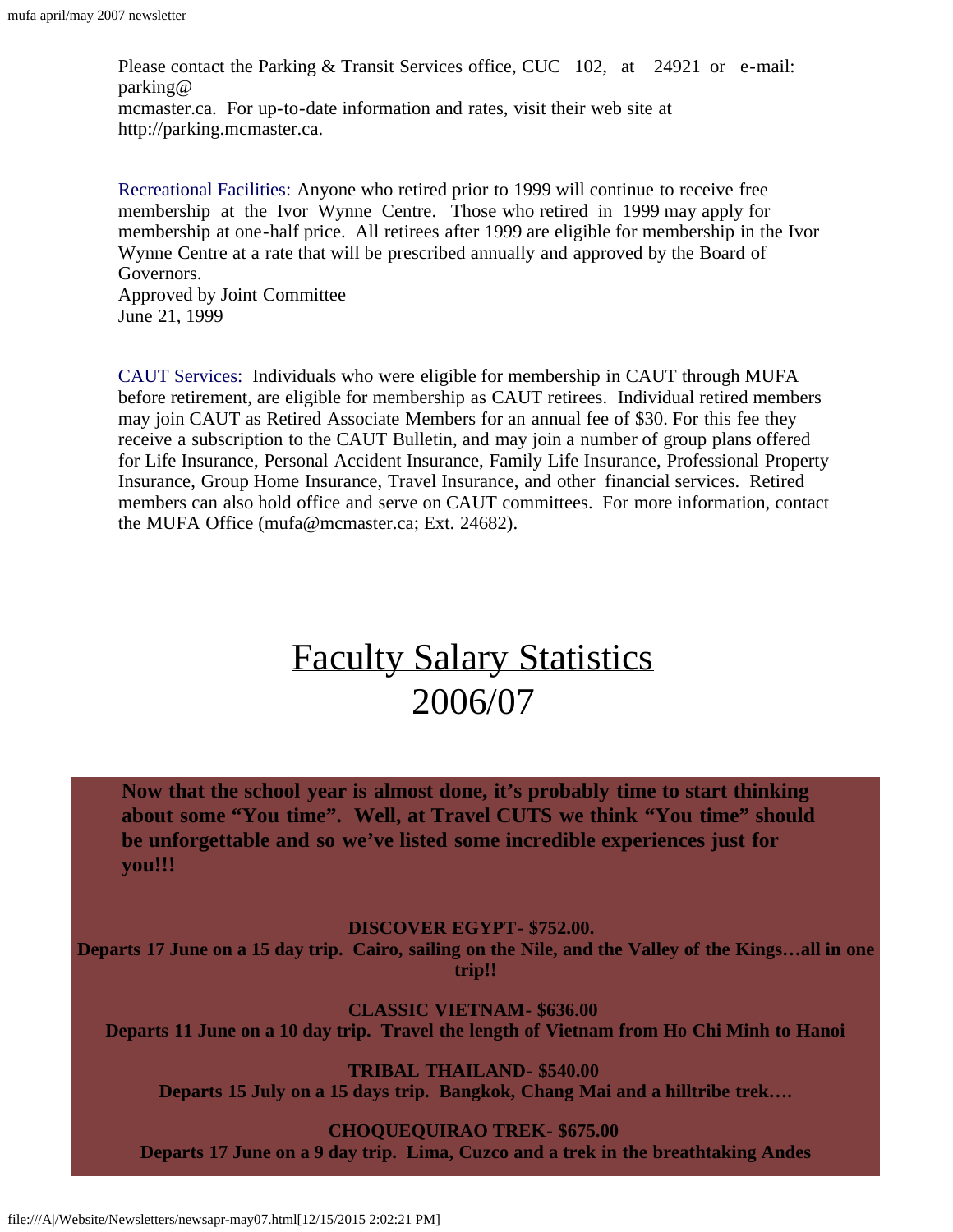Please contact the Parking & Transit Services office, CUC 102, at 24921 or e-mail: parking@ mcmaster.ca. For up-to-date information and rates, visit their web site at http://parking.mcmaster.ca.

Recreational Facilities: Anyone who retired prior to 1999 will continue to receive free membership at the Ivor Wynne Centre. Those who retired in 1999 may apply for membership at one-half price. All retirees after 1999 are eligible for membership in the Ivor Wynne Centre at a rate that will be prescribed annually and approved by the Board of Governors. Approved by Joint Committee

June 21, 1999

CAUT Services: Individuals who were eligible for membership in CAUT through MUFA before retirement, are eligible for membership as CAUT retirees. Individual retired members may join CAUT as Retired Associate Members for an annual fee of \$30. For this fee they receive a subscription to the CAUT Bulletin, and may join a number of group plans offered for Life Insurance, Personal Accident Insurance, Family Life Insurance, Professional Property Insurance, Group Home Insurance, Travel Insurance, and other financial services. Retired members can also hold office and serve on CAUT committees. For more information, contact the MUFA Office (mufa@mcmaster.ca; Ext. 24682).

## [Faculty Salary Statistics](file:///A|/Website/Newsletters/Salary Statistics 2006.pdf) [2006/07](file:///A|/Website/Newsletters/Salary Statistics 2006.pdf)

<span id="page-10-0"></span>**Now that the school year is almost done, it's probably time to start thinking about some "You time". Well, at Travel CUTS we think "You time" should be unforgettable and so we've listed some incredible experiences just for you!!!**

**DISCOVER EGYPT- \$752.00.**

**Departs 17 June on a 15 day trip. Cairo, sailing on the Nile, and the Valley of the Kings…all in one trip!!**

**CLASSIC VIETNAM- \$636.00 Departs 11 June on a 10 day trip. Travel the length of Vietnam from Ho Chi Minh to Hanoi**

**TRIBAL THAILAND- \$540.00 Departs 15 July on a 15 days trip. Bangkok, Chang Mai and a hilltribe trek….**

**CHOQUEQUIRAO TREK- \$675.00**

**Departs 17 June on a 9 day trip. Lima, Cuzco and a trek in the breathtaking Andes**